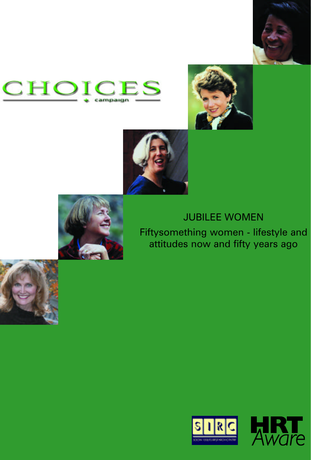









# JUBILEE WOMEN

Fiftysomething women - lifestyle and attitudes now and fifty years ago





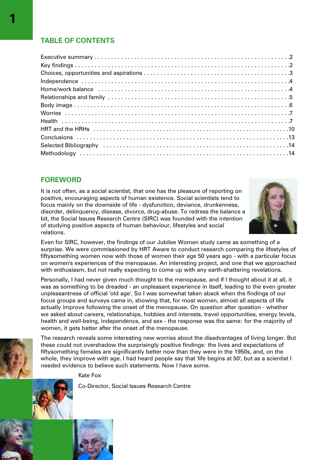# **TABLE OF CONTENTS**

# **FOREWORD**

It is not often, as a social scientist, that one has the pleasure of reporting on positive, encouraging aspects of human existence. Social scientists tend to focus mainly on the downside of life - dysfunction, deviance, drunkenness, disorder, delinquency, disease, divorce, drug-abuse. To redress the balance a bit, the Social Issues Research Centre (SIRC) was founded with the intention of studying positive aspects of human behaviour, lifestyles and social relations.



Even for SIRC, however, the findings of our Jubilee Women study came as something of a surprise. We were commissioned by HRT Aware to conduct research comparing the lifestyles of fiftysomething women now with those of women their age 50 years ago - with a particular focus on women's experiences of the menopause. An interesting project, and one that we approached with enthusiasm, but not really expecting to come up with any earth-shattering revelations.

Personally, I had never given much thought to the menopause, and if I thought about it at all, it was as something to be dreaded - an unpleasant experience in itself, leading to the even greater unpleasantness of official 'old age'. So I was somewhat taken aback when the findings of our focus groups and surveys came in, showing that, for most women, almost all aspects of life actually improve following the onset of the menopause. On question after question - whether we asked about careers, relationships, hobbies and interests, travel opportunities, energy levels, health and well-being, independence, and sex - the response was the same: for the majority of women, it gets better after the onset of the menopause.



The research reveals some interesting new worries about the disadvantages of living longer. But these could not overshadow the surprisingly positive findings: the lives and expectations of fiftysomething females are significantly better now than they were in the 1950s, and, on the whole, they improve with age. I had heard people say that 'life begins at 50', but as a scientist I needed evidence to believe such statements. Now I have some.

Kate Fox

Co-Director, Social Issues Research Centre



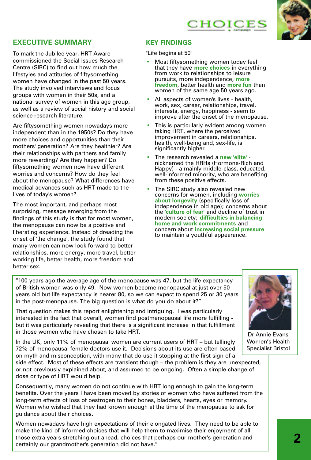# CHOICES



## **EXECUTIVE SUMMARY**

To mark the Jubilee year, HRT Aware commissioned the Social Issues Research Centre (SIRC) to find out how much the lifestyles and attitudes of fiftysomething women have changed in the past 50 years. The study involved interviews and focus groups with women in their 50s, and a national survey of women in this age group, as well as a review of social history and social science research literature.

Are fiftysomething women nowadays more independent than in the 1950s? Do they have more choices and opportunities than their mothers' generation? Are they healthier? Are their relationships with partners and family more rewarding? Are they happier? Do fiftysomething women now have different worries and concerns? How do they feel about the menopause? What differences have medical advances such as HRT made to the lives of today's women?

The most important, and perhaps most surprising, message emerging from the findings of this study is that for most women, the menopause can now be a positive and liberating experience. Instead of dreading the onset of 'the change', the study found that many women can now look forward to better relationships, more energy, more travel, better working life, better health, more freedom and better sex.

## **KEY FINDINGS**

"Life begins at 50"

- Most fiftysomething women today feel that they have **more choices** in everything from work to relationships to leisure pursuits, more independence, **more freedom**, better health and **more fun** than women of the same age 50 years ago.
- All aspects of women's lives health, work, sex, career, relationships, travel, interests, energy, happiness - seem to improve after the onset of the menopause.
- This is particularly evident among women taking HRT, where the perceived improvement in careers, relationships, health, well-being and, sex-life, is significantly higher.
- The research revealed a **new 'elite'** nicknamed the HRHs (Hormone-Rich and Happy) - a mainly middle-class, educated, well-informed minority, who are benefiting from these positive effects.
- The SIRC study also revealed new concerns for women, including **worries about longevity** (specifically loss of independence in old age); concerns about the **'culture of fear'** and decline of trust in modern society; **difficulties in balancing home and work commitments** and concern about **increasing social pressure** to maintain a youthful appearance.

"100 years ago the average age of the menopause was 47, but the life expectancy of British women was only 49. Now women become menopausal at just over 50 years old but life expectancy is nearer 80, so we can expect to spend 25 or 30 years in the post-menopause. The big question is what do you do about it?"

That question makes this report enlightening and intriguing. I was particularly interested in the fact that overall, women find postmenopausal life more fulfilling but it was particularly revealing that there is a significant increase in that fulfillment in those women who have chosen to take HRT.

In the UK, only 11% of menopausal women are current users of HRT – but tellingly 72% of menopausal female doctors use it. Decisions about its use are often based on myth and misconception, with many that do use it stopping at the first sign of a

side effect. Most of these effects are transient though – the problem is they are unexpected, or not previously explained about, and assumed to be ongoing. Often a simple change of dose or type of HRT would help.

Consequently, many women do not continue with HRT long enough to gain the long-term benefits. Over the years I have been moved by stories of women who have suffered from the long-term effects of loss of oestrogen to their bones, bladders, hearts, eyes or memory. Women who wished that they had known enough at the time of the menopause to ask for guidance about their choices.

Women nowadays have high expectations of their elongated lives. They need to be able to make the kind of informed choices that will help them to maximise their enjoyment of all those extra years stretching out ahead, choices that perhaps our mother's generation and certainly our grandmother's generation did not have."



Dr Annie Evans Women's Health Specialist Bristol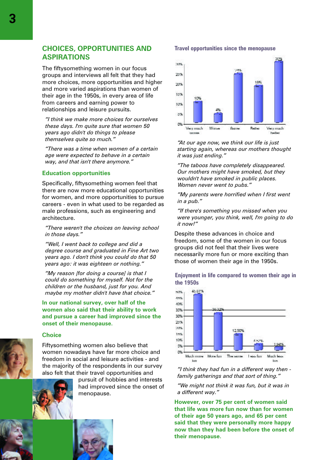## **CHOICES, OPPORTUNITIES AND ASPIRATIONS**

The fiftysomething women in our focus groups and interviews all felt that they had more choices, more opportunities and higher and more varied aspirations than women of their age in the 1950s, in every area of life from careers and earning power to relationships and leisure pursuits.

*"I think we make more choices for ourselves these days. I'm quite sure that women 50 years ago didn't do things to please themselves quite so much."*

*"There was a time when women of a certain age were expected to behave in a certain way, and that isn't there anymore."*

#### **Education opportunities**

Specifically, fiftysomething women feel that there are now more educational opportunities for women, and more opportunities to pursue careers - even in what used to be regarded as male professions, such as engineering and architecture.

*"There weren't the choices on leaving school in those days."*

*"Well, I went back to college and did a degree course and graduated in Fine Art two years ago. I don't think you could do that 50 years ago: it was eighteen or nothing."*

*"My reason [for doing a course] is that I could do something for myself. Not for the children or the husband, just for you. And maybe my mother didn't have that choice."*

**In our national survey, over half of the women also said that their ability to work and pursue a career had improved since the onset of their menopause.**

#### **Choice**



Fiftysomething women also believe that women nowadays have far more choice and freedom in social and leisure activities - and the majority of the respondents in our survey also felt that their travel opportunities and



had improved since the onset of menopause.



#### **Travel opportunities since the menopause**



*"At our age now, we think our life is just starting again, whereas our mothers thought it was just ending."*

*"The taboos have completely disappeared. Our mothers might have smoked, but they wouldn't have smoked in public places. Women never went to pubs."*

*"My parents were horrified when I first went in a pub."*

*"If there's something you missed when you were younger, you think, well, I'm going to do it now!"*

Despite these advances in choice and freedom, some of the women in our focus groups did not feel that their lives were necessarily more fun or more exciting than those of women their age in the 1950s.

#### **Enjoyment in life compared to women their age in the 1950s**



*"I think they had fun in a different way then family gatherings and that sort of thing."*

*"We might not think it was fun, but it was in a different way."*

**However, over 75 per cent of women said that life was more fun now than for women of their age 50 years ago, and 65 per cent said that they were personally more happy now than they had been before the onset of their menopause.**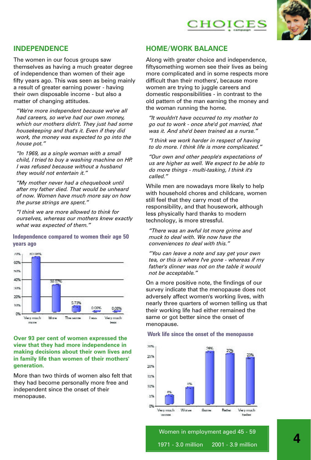



# **INDEPENDENCE**

The women in our focus groups saw themselves as having a much greater degree of independence than women of their age fifty years ago. This was seen as being mainly a result of greater earning power - having their own disposable income - but also a matter of changing attitudes.

*"We're more independent because we've all had careers, so we've had our own money, which our mothers didn't. They just had some housekeeping and that's it. Even if they did work, the money was expected to go into the house pot."*

*"In 1969, as a single woman with a small child, I tried to buy a washing machine on HP. I was refused because without a husband they would not entertain it."*

*"My mother never had a chequebook until after my father died. That would be unheard of now. Women have much more say on how the purse strings are spent."*

*"I think we are more allowed to think for ourselves, whereas our mothers knew exactly what was expected of them."*

**Independence compared to women their age 50 years ago**



### **Over 93 per cent of women expressed the view that they had more independence in making decisions about their own lives and in family life than women of their mothers' generation.**

More than two thirds of women also felt that they had become personally more free and independent since the onset of their menopause.

## **HOME/WORK BALANCE**

Along with greater choice and independence, fiftysomething women see their lives as being more complicated and in some respects more difficult than their mothers', because more women are trying to juggle careers and domestic responsibilities - in contrast to the old pattern of the man earning the money and the woman running the home.

*"It wouldn't have occurred to my mother to go out to work - once she'd got married, that was it. And she'd been trained as a nurse."* 

*"I think we work harder in respect of having to do more. I think life is more complicated."*

*"Our own and other people's expectations of us are higher as well. We expect to be able to do more things - multi-tasking, I think it's called."*

While men are nowadays more likely to help with household chores and childcare, women still feel that they carry most of the responsibility, and that housework, although less physically hard thanks to modern technology, is more stressful.

*"There was an awful lot more grime and muck to deal with. We now have the conveniences to deal with this."*

*"You can leave a note and say get your own tea, or this is where I've gone - whereas if my father's dinner was not on the table it would not be acceptable."*

On a more positive note, the findings of our survey indicate that the menopause does not adversely affect women's working lives, with nearly three quarters of women telling us that their working life had either remained the same or got better since the onset of menopause.

#### **Work life since the onset of the menopause**



Women in employment aged 45 - 59 1971 - 3.0 million 2001 - 3.9 million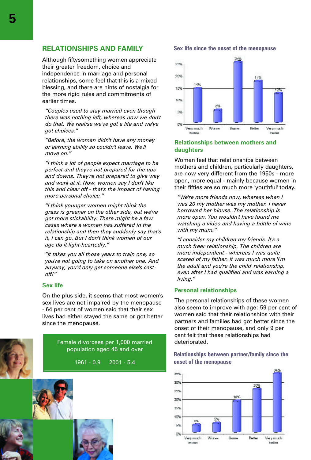Although fiftysomething women appreciate their greater freedom, choice and independence in marriage and personal relationships, some feel that this is a mixed blessing, and there are hints of nostalgia for the more rigid rules and commitments of earlier times.

*"Couples used to stay married even though there was nothing left, whereas now we don't do that. We realise we've got a life and we've got choices."*

*"Before, the woman didn't have any money or earning ability so couldn't leave. We'll move on."*

*"I think a lot of people expect marriage to be perfect and they're not prepared for the ups and downs. They're not prepared to give way and work at it. Now, women say I don't like this and clear off - that's the impact of having more personal choice."*

*"I think younger women might think the grass is greener on the other side, but we've got more stickability. There might be a few cases where a women has suffered in the relationship and then they suddenly say that's it, I can go. But I don't think women of our age do it light-heartedly."*

*"It takes you all those years to train one, so you're not going to take on another one. And anyway, you'd only get someone else's castoff!"*

#### **Sex life**

On the plus side, it seems that most women's sex lives are not impaired by the menopause - 64 per cent of women said that their sex lives had either stayed the same or got better since the menopause.



Female divorcees per 1,000 married population aged 45 and over

1961 - 0.9 2001 - 5.4



#### **Sex life since the onset of the menopause**



## **Relationships between mothers and daughters**

Women feel that relationships between mothers and children, particularly daughters, are now very different from the 1950s - more open, more equal - mainly because women in their fifties are so much more 'youthful' today.

*"We're more friends now, whereas when I was 20 my mother was my mother. I never borrowed her blouse. The relationship is more open. You wouldn't have found me watching a video and having a bottle of wine with my mum."*

*"I consider my children my friends. It's a much freer relationship. The children are more independent - whereas I was quite scared of my father. It was much more 'I'm the adult and you're the child' relationship, even after I had qualified and was earning a living."*

## **Personal relationships**

The personal relationships of these women also seem to improve with age: 59 per cent of women said that their relationships with their partners and families had got better since the onset of their menopause, and only 9 per cent felt that these relationships had deteriorated.

**Relationships between partner/family since the onset of the menopause**

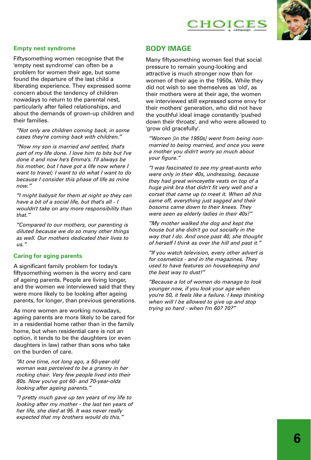



## **Empty nest syndrome**

Fiftysomething women recognise that the 'empty nest syndrome' can often be a problem for women their age, but some found the departure of the last child a liberating experience. They expressed some concern about the tendency of children nowadays to return to the parental nest, particularly after failed relationships, and about the demands of grown-up children and their families.

*"Not only are children coming back, in some cases they're coming back with children."*

*"Now my son is married and settled, that's part of my life done. I love him to bits but I've done it and now he's Emma's. I'll always be his mother, but I have got a life now where I want to travel; I want to do what I want to do because I consider this phase of life as mine now."*

*"I might babysit for them at night so they can have a bit of a social life, but that's all - I wouldn't take on any more responsibility than that."*

*"Compared to our mothers, our parenting is diluted because we do so many other things as well. Our mothers dedicated their lives to us."*

## **Caring for aging parents**

A significant family problem for today's fiftysomething women is the worry and care of ageing parents. People are living longer, and the women we interviewed said that they were more likely to be looking after ageing parents, for longer, than previous generations.

As more women are working nowadays, ageing parents are more likely to be cared for in a residential home rather than in the family home, but when residential care is not an option, it tends to be the daughters (or even daughters in law) rather than sons who take on the burden of care.

*"At one time, not long ago, a 50-year-old woman was perceived to be a granny in her rocking chair. Very few people lived into their 80s. Now you've got 60- and 70-year-olds looking after ageing parents."*

*"I pretty much gave up ten years of my life to looking after my mother - the last ten years of her life, she died at 95. It was never really expected that my brothers would do this."*

## **BODY IMAGE**

Many fiftysomething women feel that social pressure to remain young-looking and attractive is much stronger now than for women of their age in the 1950s. While they did not wish to see themselves as 'old', as their mothers were at their age, the women we interviewed still expressed some envy for their mothers' generation, who did not have the youthful ideal image constantly 'pushed down their throats', and who were allowed to 'grow old gracefully'.

*"Women [in the 1950s] went from being nonmarried to being married, and once you were a mother you didn't worry so much about your figure."*

*"I was fascinated to see my great-aunts who were only in their 40s, undressing, because they had great winceyette vests on top of a huge pink bra that didn't fit very well and a corset that came up to meet it. When all this came off, everything just sagged and their bosoms came down to their knees. They were seen as elderly ladies in their 40s!"*

*"My mother walked the dog and kept the house but she didn't go out socially in the way that I do. And once past 40, she thought of herself I think as over the hill and past it."*

*"If you watch television, every other advert is for cosmetics - and in the magazines. They used to have features on housekeeping and the best way to dust!"* 

*"Because a lot of women do manage to look younger now, if you look your age when you're 50, it feels like a failure. I keep thinking when will I be allowed to give up and stop trying so hard - when I'm 60? 70?"*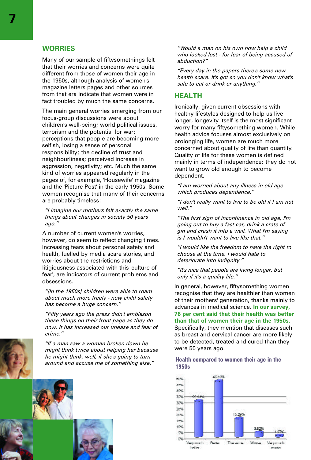## **WORRIES**

Many of our sample of fiftysomethings felt that their worries and concerns were quite different from those of women their age in the 1950s, although analysis of women's magazine letters pages and other sources from that era indicate that women were in fact troubled by much the same concerns.

The main general worries emerging from our focus-group discussions were about children's well-being; world political issues, terrorism and the potential for war; perceptions that people are becoming more selfish, losing a sense of personal responsibility; the decline of trust and neighbourliness; perceived increase in aggression, negativity; etc. Much the same kind of worries appeared regularly in the pages of, for example, 'Housewife' magazine and the 'Picture Post' in the early 1950s. Some women recognise that many of their concerns are probably timeless:

*"I imagine our mothers felt exactly the same things about changes in society 50 years ago."*

A number of current women's worries, however, do seem to reflect changing times. Increasing fears about personal safety and health, fuelled by media scare stories, and worries about the restrictions and litigiousness associated with this 'culture of fear', are indicators of current problems and obsessions.

*"[In the 1950s] children were able to roam about much more freely - now child safety has become a huge concern."*

*"Fifty years ago the press didn't emblazon these things on their front page as they do now. It has increased our unease and fear of crime."*

*"If a man saw a woman broken down he might think twice about helping her because he might think, well, if she's going to turn around and accuse me of something else."*



*"Would a man on his own now help a child who looked lost - for fear of being accused of abduction?"*

*"Every day in the papers there's some new health scare. It's got so you don't know what's safe to eat or drink or anything."*

## **HEALTH**

Ironically, given current obsessions with healthy lifestyles designed to help us live longer, longevity itself is the most significant worry for many fiftysomething women. While health advice focuses almost exclusively on prolonging life, women are much more concerned about quality of life than quantity. Quality of life for these women is defined mainly in terms of independence: they do not want to grow old enough to become dependent.

*"I am worried about any illness in old age which produces dependence."*

*"I don't really want to live to be old if I am not well."*

*"The first sign of incontinence in old age, I'm going out to buy a fast car, drink a crate of gin and crash it into a wall. What I'm saying is I wouldn't want to live like that."*

*"I would like the freedom to have the right to choose at the time. I would hate to deteriorate into indignity."*

*"It's nice that people are living longer, but only if it's a quality life."*

In general, however, fiftysomething women recognise that they are healthier than women of their mothers' generation, thanks mainly to advances in medical science. **In our survey, 76 per cent said that their health was better than that of women their age in the 1950s.** Specifically, they mention that diseases such as breast and cervical cancer are more likely to be detected, treated and cured than they were 50 years ago.

## **Health compared to women their age in the 1950s**

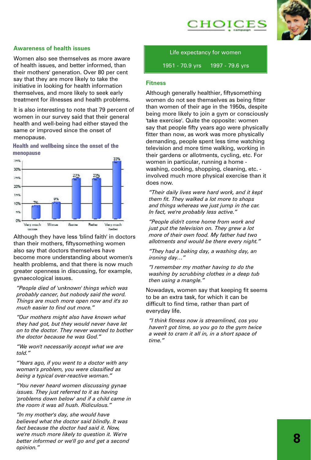



## **Awareness of health issues**

Women also see themselves as more aware of health issues, and better informed, than their mothers' generation. Over 80 per cent say that they are more likely to take the initiative in looking for health information themselves, and more likely to seek early treatment for illnesses and health problems.

It is also interesting to note that 79 percent of women in our survey said that their general health and well-being had either stayed the same or improved since the onset of menopause.

**Health and wellbeing since the onset of the menopause**



Although they have less 'blind faith' in doctors than their mothers, fiftysomething women also say that doctors themselves have become more understanding about women's health problems, and that there is now much greater openness in discussing, for example, gynaecological issues.

*"People died of 'unknown' things which was probably cancer, but nobody said the word. Things are much more open now and it's so much easier to find out more."*

*"Our mothers might also have known what they had got, but they would never have let on to the doctor. They never wanted to bother the doctor because he was God."*

*"We won't necessarily accept what we are told."*

*"Years ago, if you went to a doctor with any woman's problem, you were classified as being a typical over-reactive woman."*

*"You never heard women discussing gynae issues. They just referred to it as having 'problems down below' and if a child came in the room it was all hush. Ridiculous."*

*"In my mother's day, she would have believed what the doctor said blindly. It was fact because the doctor had said it. Now, we're much more likely to question it. We're better informed or we'll go and get a second opinion."*

Life expectancy for women 1951 - 70.9 yrs 1997 - 79.6 yrs

#### **Fitness**

Although generally healthier, fiftysomething women do not see themselves as being fitter than women of their age in the 1950s, despite being more likely to join a gym or consciously 'take exercise'. Quite the opposite: women say that people fifty years ago were physically fitter than now, as work was more physically demanding, people spent less time watching television and more time walking, working in their gardens or allotments, cycling, etc. For women in particular, running a home washing, cooking, shopping, cleaning, etc. involved much more physical exercise than it does now.

*"Their daily lives were hard work, and it kept them fit. They walked a lot more to shops and things whereas we just jump in the car. In fact, we're probably less active."*

*"People didn't come home from work and just put the television on. They grew a lot more of their own food. My father had two allotments and would be there every night."*

*"They had a baking day, a washing day, an ironing day…"*

*"I remember my mother having to do the washing by scrubbing clothes in a deep tub then using a mangle."*

Nowadays, women say that keeping fit seems to be an extra task, for which it can be difficult to find time, rather than part of everyday life.

*"I think fitness now is streamlined, cos you haven't got time, so you go to the gym twice a week to cram it all in, in a short space of time."*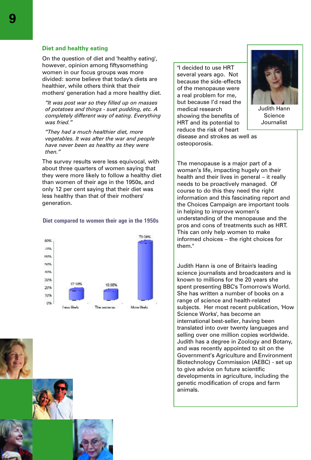#### **Diet and healthy eating**

On the question of diet and 'healthy eating', however, opinion among fiftysomething women in our focus groups was more divided: some believe that today's diets are healthier, while others think that their mothers' generation had a more healthy diet.

*"It was post war so they filled up on masses of potatoes and things - suet pudding, etc. A completely different way of eating. Everything was fried."*

*"They had a much healthier diet, more vegetables. It was after the war and people have never been as healthy as they were then."*

The survey results were less equivocal, with about three quarters of women saying that they were more likely to follow a healthy diet than women of their age in the 1950s, and only 12 per cent saying that their diet was less healthy than that of their mothers' generation.

#### **Diet compared to women their age in the 1950s**



"I decided to use HRT several years ago. Not because the side-effects of the menopause were a real problem for me, but because I'd read the medical research showing the benefits of HRT and its potential to reduce the risk of heart

osteoporosis.

disease and strokes as well as



Judith Hann **Science** Journalist

The menopause is a major part of a woman's life, impacting hugely on their health and their lives in general – it really needs to be proactively managed. Of course to do this they need the right information and this fascinating report and the Choices Campaign are important tools in helping to improve women's understanding of the menopause and the pros and cons of treatments such as HRT. This can only help women to make informed choices – the right choices for them."

Judith Hann is one of Britain's leading science journalists and broadcasters and is known to millions for the 20 years she spent presenting BBC's Tomorrow's World. She has written a number of books on a range of science and health-related subjects. Her most recent publication, 'How Science Works', has become an international best-seller, having been translated into over twenty languages and selling over one million copies worldwide. Judith has a degree in Zoology and Botany, and was recently appointed to sit on the Government's Agriculture and Environment Biotechnology Commission (AEBC) - set up to give advice on future scientific developments in agriculture, including the genetic modification of crops and farm animals.

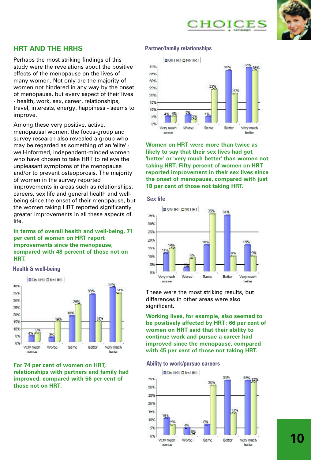CHOICES



# **HRT AND THE HRHS**

Perhaps the most striking findings of this study were the revelations about the positive effects of the menopause on the lives of many women. Not only are the majority of women not hindered in any way by the onset of menopause, but every aspect of their lives - health, work, sex, career, relationships, travel, interests, energy, happiness - seems to improve.

Among these very positive, active, menopausal women, the focus-group and survey research also revealed a group who may be regarded as something of an 'elite' well-informed, independent-minded women who have chosen to take HRT to relieve the unpleasant symptoms of the menopause and/or to prevent osteoporosis. The majority of women in the survey reported improvements in areas such as relationships, careers, sex life and general health and wellbeing since the onset of their menopause, but the women taking HRT reported significantly greater improvements in all these aspects of life.

**In terms of overall health and well-being, 71 per cent of women on HRT report improvements since the menopause, compared with 48 percent of those not on HRT.**

**Health & well-being**



**For 74 per cent of women on HRT, relationships with partners and family had improved, compared with 56 per cent of those not on HRT.**

#### **Partner/family relationships**



**Women on HRT were more than twice as likely to say that their sex lives had got 'better' or 'very much better' than women not taking HRT. Fifty percent of women on HRT reported improvement in their sex lives since the onset of menopause, compared with just 18 per cent of those not taking HRT.**

#### **Sex life**



These were the most striking results, but differences in other areas were also significant.

**Working lives, for example, also seemed to be positively affected by HRT: 66 per cent of women on HRT said that their ability to continue work and pursue a career had improved since the menopause, compared with 45 per cent of those not taking HRT.**

#### **Ability to work/pursue careers**

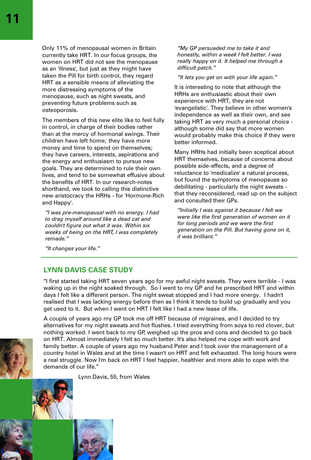Only 11% of menopausal women in Britain currently take HRT. In our focus groups, the women on HRT did not see the menopause as an 'illness', but just as they might have taken the Pill for birth control, they regard HRT as a sensible means of alleviating the more distressing symptoms of the menopause, such as night sweats, and preventing future problems such as osteoporosis.

The members of this new elite like to feel fully in control, in charge of their bodies rather than at the mercy of hormonal swings. Their children have left home; they have more money and time to spend on themselves; they have careers, interests, aspirations and the energy and enthusiasm to pursue new goals. They are determined to rule their own lives, and tend to be somewhat effusive about the benefits of HRT. In our research-notes shorthand, we took to calling this distinctive new aristocracy the HRHs - for 'Hormone-Rich and Happy'.

*"I was pre-menopausal with no energy. I had to drag myself around like a dead cat and couldn't figure out what it was. Within six weeks of being on the HRT, I was completely remade."*

*"My GP persuaded me to take it and honestly, within a week I felt better. I was really happy on it. It helped me through a difficult patch."*

*"It lets you get on with your life again."*

It is interesting to note that although the HRHs are enthusiastic about their own experience with HRT, they are not 'evangelistic'. They believe in other women's independence as well as their own, and see taking HRT as very much a personal choice although some did say that more women would probably make this choice if they were better informed.

Many HRHs had initially been sceptical about HRT themselves, because of concerns about possible side-effects, and a degree of reluctance to 'medicalize' a natural process, but found the symptoms of menopause so debilitating - particularly the night sweats that they reconsidered, read up on the subject and consulted their GPs.

*"Initially I was against it because I felt we were like the first generation of women on it for long periods and we were the first generation on the Pill. But having gone on it, it was brilliant."*

*"It changes your life."*

## **LYNN DAVIS CASE STUDY**

"I first started taking HRT seven years ago for my awful night sweats. They were terrible - I was waking up in the night soaked through. So I went to my GP and he prescribed HRT and within days I felt like a different person. The night sweat stopped and I had more energy. I hadn't realised that I was lacking energy before then as I think it tends to build up gradually and you get used to it. But when I went on HRT I felt like I had a new lease of life.

A couple of years ago my GP took me off HRT because of migraines, and I decided to try alternatives for my night sweats and hot flushes. I tried everything from soya to red clover, but nothing worked. I went back to my GP, weighed up the pros and cons and decided to go back on HRT. Almost immediately I felt so much better. It's also helped me cope with work and family better. A couple of years ago my husband Peter and I took over the management of a country hotel in Wales and at the time I wasn't on HRT and felt exhausted. The long hours were a real struggle. Now I'm back on HRT I feel happier, healthier and more able to cope with the demands of our life."

Lynn Davis, 55, from Wales



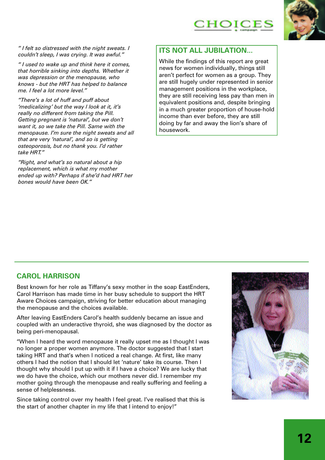

*" I felt so distressed with the night sweats. I couldn't sleep, I was crying. It was awful."*

*" I used to wake up and think here it comes, that horrible sinking into depths. Whether it was depression or the menopause, who knows - but the HRT has helped to balance me. I feel a lot more level."*

*"There's a lot of huff and puff about 'medicalizing' but the way l look at it, it's really no different from taking the Pill. Getting pregnant is 'natural', but we don't want it, so we take the Pill. Same with the menopause. I'm sure the night sweats and all that are very 'natural', and so is getting osteoporosis, but no thank you. l'd rather take HRT."*

*"Right, and what's so natural about a hip replacement, which is what my mother ended up with? Perhaps if she'd had HRT her bones would have been OK."*

# **ITS NOT ALL JUBILATION...**

While the findings of this report are great news for women individually, things still aren't perfect for women as a group. They are still hugely under represented in senior management positions in the workplace, they are still receiving less pay than men in equivalent positions and, despite bringing in a much greater proportion of house-hold income than ever before, they are still doing by far and away the lion's share of housework.

## **CAROL HARRISON**

Best known for her role as Tiffany's sexy mother in the soap EastEnders, Carol Harrison has made time in her busy schedule to support the HRT Aware Choices campaign, striving for better education about managing the menopause and the choices available.

After leaving EastEnders Carol's health suddenly became an issue and coupled with an underactive thyroid, she was diagnosed by the doctor as being peri-menopausal.

"When l heard the word menopause it really upset me as l thought l was no longer a proper women anymore. The doctor suggested that l start taking HRT and that's when l noticed a real change. At first, like many others l had the notion that l should let 'nature' take its course. Then l thought why should l put up with it if l have a choice? We are lucky that we do have the choice, which our mothers never did. l remember my mother going through the menopause and really suffering and feeling a sense of helplessness.

Since taking control over my health l feel great. l've realised that this is the start of another chapter in my life that l intend to enjoy!"

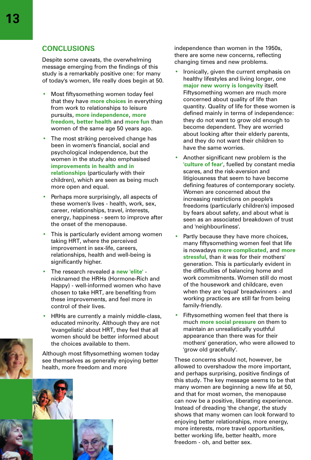## **CONCLUSIONS**

Despite some caveats, the overwhelming message emerging from the findings of this study is a remarkably positive one: for many of today's women, life really does begin at 50.

- Most fiftysomething women today feel that they have **more choices** in everything from work to relationships to leisure pursuits, **more independence**, **more freedom**, **better health** and **more fun** than women of the same age 50 years ago.
- The most striking perceived change has been in women's financial, social and psychological independence, but the women in the study also emphasised **improvements in health and in relationships** (particularly with their children), which are seen as being much more open and equal.
- Perhaps more surprisingly, all aspects of these women's lives - health, work, sex, career, relationships, travel, interests, energy, happiness - seem to improve after the onset of the menopause.
- This is particularly evident among women taking HRT, where the perceived improvement in sex-life, careers, relationships, health and well-being is significantly higher.
- The research revealed a **new 'elite'** nicknamed the HRHs (Hormone-Rich and Happy) - well-informed women who have chosen to take HRT, are benefiting from these improvements, and feel more in control of their lives.
- HRHs are currently a mainly middle-class, educated minority. Although they are not 'evangelistic' about HRT, they feel that all women should be better informed about the choices available to them.

Although most fiftysomething women today see themselves as generally enjoying better health, more freedom and more



independence than women in the 1950s, there are some new concerns, reflecting changing times and new problems.

- Ironically, given the current emphasis on healthy lifestyles and living longer, one **major new worry is longevity** itself. Fiftysomething women are much more concerned about quality of life than quantity. Quality of life for these women is defined mainly in terms of independence: they do not want to grow old enough to become dependent. They are worried about looking after their elderly parents, and they do not want their children to have the same worries.
- Another significant new problem is the **'culture of fear'**, fuelled by constant media scares, and the risk-aversion and litigiousness that seem to have become defining features of contemporary society. Women are concerned about the increasing restrictions on people's freedoms (particularly children's) imposed by fears about safety, and about what is seen as an associated breakdown of trust and 'neighbourliness'.
- Partly because they have more choices, many fiftysomething women feel that life is nowadays **more complicated**, and **more stressful**, than it was for their mothers' generation. This is particularly evident in the difficulties of balancing home and work commitments. Women still do most of the housework and childcare, even when they are 'equal' breadwinners - and working practices are still far from being family-friendly.
- Fiftysomething women feel that there is much **more social pressure** on them to maintain an unrealistically youthful appearance than there was for their mothers' generation, who were allowed to 'grow old gracefully'.

These concerns should not, however, be allowed to overshadow the more important, and perhaps surprising, positive findings of this study. The key message seems to be that many women are beginning a new life at 50, and that for most women, the menopause can now be a positive, liberating experience. Instead of dreading 'the change', the study shows that many women can look forward to enjoying better relationships, more energy, more interests, more travel opportunities, better working life, better health, more freedom - oh, and better sex.

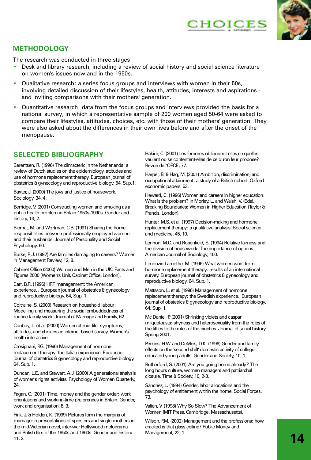



# **METHODOLOGY**

The research was conducted in three stages:

- Desk and library research, including a review of social history and social science literature on women's issues now and in the 1950s.
- Qualitative research: a series focus groups and interviews with women in their 50s, involving detailed discussion of their lifestyles, health, attitudes, interests and aspirations and inviting comparisons with their mothers' generation.
- Quantitative research: data from the focus groups and interviews provided the basis for a national survey, in which a representative sample of 200 women aged 50-64 were asked to compare their lifestyles, attitudes, choices, etc. with those of their mothers' generation. They were also asked about the differences in their own lives before and after the onset of the menopause.

# **SELECTED BIBLIOGRAPHY**

Barentsen, R. (1996) The climacteric in the Netherlands: a review of Dutch studies on the epidemiology, attitudes and use of hormone replacement therapy. European journal of obstetrics & gynecology and reproductive biology. 64, Sup.1.

Baxter, J. (2000) The joys and justice of housework. Sociology, 34, 4.

Berridge, V. (2001) Constructing women and smoking as a public health problem in Britain 1950s-1990s. Gender and history, 13, 2.

Biernat, M. and Wortman, C.B. (1991) Sharing the home responsibilities between professionally employed women and their husbands. Journal of Personality and Social Psychology, 60.

Burke, R.J. (1997) Are families damaging to careers? Women in Management Review, 12, 8.

Cabinet Office (2000) Women and Men in the UK: Facts and Figures 2000 (Women's Unit, Cabinet Office, London).

Carr, B.R. (1996) HRT management: the American experience. . European journal of obstetrics & gynecology and reproductive biology. 64, Sup. 1.

Coltraine, S. (2000) Research on household labour: Modelling and measuring the social embeddedness of routine family work. Journal of Marriage and Family, 62.

Conboy, L. et al. (2000) Women at mid-life: symptoms, attitudes, and choices an internet based survey. Women's health interactive.

Crosignani, P.G. (1996) Management of hormone replacement therapy: the Italian experience. European journal of obstetrics & gynecology and reproductive biology. 64, Sup. 1.

Duncan, L.E. and Stewart, A.J. (2000) A generational analysis of women's rights activists. Psychology of Women Quarterly,  $24$ 

Fagan, C. (2001) Time, money and the gender order: work orientations and working-time preferences in Britain. Gender, work and organisation, 8, 3.

Fink, J. & Holden, K. (1999) Pictures form the margins of marriage: representations of spinsters and single mothers in the mid-Victorian novel, inter-war Hollywood melodrama and British film of the 1950s and 1960s. Gender and history. 11, 2.

Hakim, C. (2001) Les femmes obtiennent-elles ce quelles veulent ou se contentent-elles de ce qu'on leur propose? Revue de l'OFCE, 77.

Harper, B. & Haq, M. (2001) Ambition, discrimination, and occupational attainment: a study of a British cohort. Oxford economic papers. 53.

Heward, C. (1996) Women and careers in higher education: What is the problem? In Morley, L. and Walsh, V. (Eds), Breaking Boundaries: Women in Higher Education (Taylor & Francis, London).

Hunter, M.S. et al. (1997) Decision-making and hormone replacement therapy: a qualitative analysis. Social science and medicine, 45, 10.

Lennon, M.C. and Rosenfield, S. (1994) Relative fairness and the division of housework: The importance of options. American Journal of Sociology, 100.

Limouzin-Lamothe, M. (1996) What women want from hormone replacement therapy: results of an international survey. European journal of obstetrics & gynecology and reproductive biology. 64, Sup. 1.

Mattsson, L. et al. (1996) Management of hormone replacement therapy: the Swedish experience. European journal of obstetrics & gynecology and reproductive biology. 64, Sup. 1.

Mc Daniel, P. (2001) Shrinking violets and caspar milquetoasts: shyness and heterosexuality from the roles of the fifties to the rules of the nineties. Journal of social history. Spring 2001.

Perkins, H.W. and DeMeis, D.K. (1996) Gender and family effects on the 'second shift' domestic activity of collegeeducated young adults. Gender and Society, 10, 1.

Rutherford, S. (2001) 'Are you going home already?' The long hours culture, women managers and patriarchal closure. Time & Society, 10, 2-3.

Sanchez, L. (1994) Gender, labor allocations and the psychology of entitlement within the home. Social Forces, 73.

Valien, V. (1998) Why So Slow? The Advancement of Women (MIT Press, Cambridge, Massachusetts).

Wilson, F.M. (2002) Management and the professions: how cracked is that glass ceiling? Public Money and Management, 22, 1.